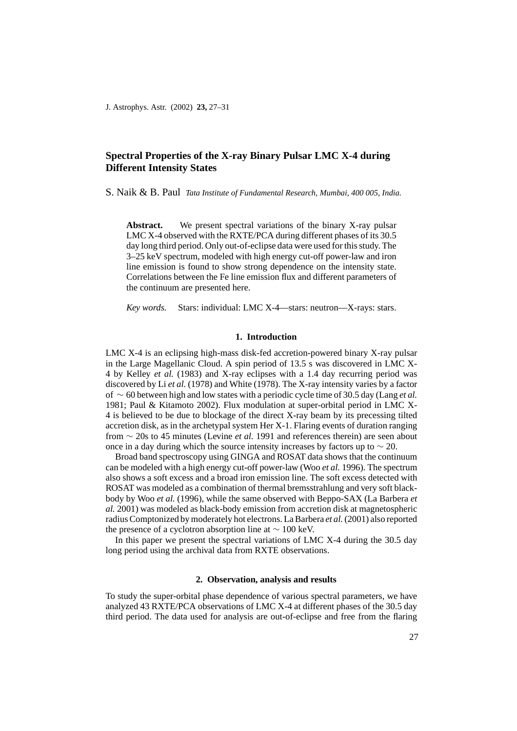# **Spectral Properties of the X-ray Binary Pulsar LMC X-4 during Different Intensity States**

S. Naik & B. Paul *Tata Institute of Fundamental Research, Mumbai, 400 005, India.*

Abstract. We present spectral variations of the binary X-ray pulsar LMC X-4 observed with the RXTE/PCA during different phases of its 30.5 day long third period. Only out-of-eclipse data were used for this study. The 3–25 keV spectrum, modeled with high energy cut-off power-law and iron line emission is found to show strong dependence on the intensity state. Correlations between the Fe line emission flux and different parameters of the continuum are presented here.

*Key words.* Stars: individual: LMC X-4—stars: neutron—X-rays: stars.

## **1. Introduction**

LMC X-4 is an eclipsing high-mass disk-fed accretion-powered binary X-ray pulsar in the Large Magellanic Cloud. A spin period of 13.5 s was discovered in LMC X-4 by Kelley *et al.* (1983) and X-ray eclipses with a 1.4 day recurring period was discovered by Li *et al.* (1978) and White (1978). The X-ray intensity varies by a factor of ∼ 60 between high and low states with a periodic cycle time of 30.5 day (Lang *et al.* 1981; Paul & Kitamoto 2002). Flux modulation at super-orbital period in LMC X-4 is believed to be due to blockage of the direct X-ray beam by its precessing tilted accretion disk, as in the archetypal system Her X-1. Flaring events of duration ranging from ∼ 20s to 45 minutes (Levine *et al.* 1991 and references therein) are seen about once in a day during which the source intensity increases by factors up to  $\sim$  20.

Broad band spectroscopy using GINGA and ROSAT data shows that the continuum can be modeled with a high energy cut-off power-law (Woo *et al.* 1996). The spectrum also shows a soft excess and a broad iron emission line. The soft excess detected with ROSAT was modeled as a combination of thermal bremsstrahlung and very soft blackbody by Woo *et al.* (1996), while the same observed with Beppo-SAX (La Barbera *et al.* 2001) was modeled as black-body emission from accretion disk at magnetospheric radius Comptonized by moderately hot electrons. La Barbera *et al.*(2001) also reported the presence of a cyclotron absorption line at ∼ 100 keV.

In this paper we present the spectral variations of LMC X-4 during the 30.5 day long period using the archival data from RXTE observations.

#### **2. Observation, analysis and results**

To study the super-orbital phase dependence of various spectral parameters, we have analyzed 43 RXTE/PCA observations of LMC X-4 at different phases of the 30.5 day third period. The data used for analysis are out-of-eclipse and free from the flaring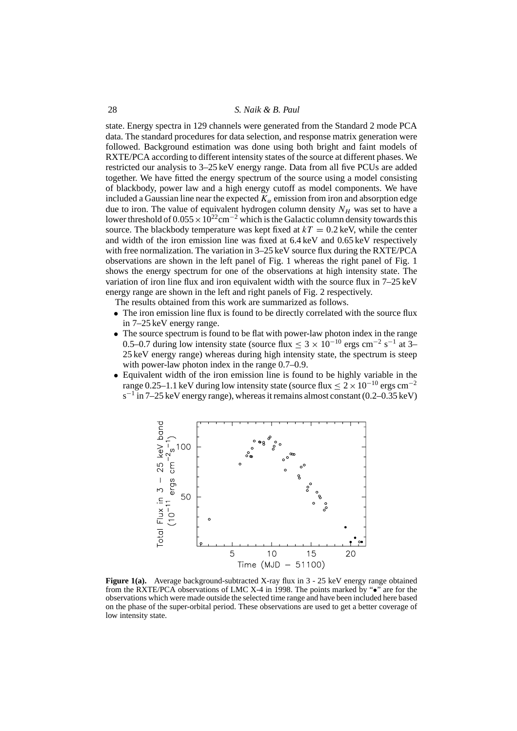#### 28 *S. Naik & B. Paul*

state. Energy spectra in 129 channels were generated from the Standard 2 mode PCA data. The standard procedures for data selection, and response matrix generation were followed. Background estimation was done using both bright and faint models of RXTE/PCA according to different intensity states of the source at different phases. We restricted our analysis to 3–25 keV energy range. Data from all five PCUs are added together. We have fitted the energy spectrum of the source using a model consisting of blackbody, power law and a high energy cutoff as model components. We have included a Gaussian line near the expected  $K_\alpha$  emission from iron and absorption edge due to iron. The value of equivalent hydrogen column density  $N_H$  was set to have a lower threshold of  $0.055 \times 10^{22}$ cm<sup>-2</sup> which is the Galactic column density towards this source. The blackbody temperature was kept fixed at  $kT = 0.2$  keV, while the center and width of the iron emission line was fixed at 6.4 keV and 0.65 keV respectively with free normalization. The variation in 3–25 keV source flux during the RXTE/PCA observations are shown in the left panel of Fig. 1 whereas the right panel of Fig. 1 shows the energy spectrum for one of the observations at high intensity state. The variation of iron line flux and iron equivalent width with the source flux in 7–25 keV energy range are shown in the left and right panels of Fig. 2 respectively.

The results obtained from this work are summarized as follows.

- The iron emission line flux is found to be directly correlated with the source flux in 7–25 keV energy range.
- The source spectrum is found to be flat with power-law photon index in the range 0.5–0.7 during low intensity state (source flux  $\leq 3 \times 10^{-10}$  ergs cm<sup>-2</sup> s<sup>-1</sup> at 3– 25 keV energy range) whereas during high intensity state, the spectrum is steep with power-law photon index in the range  $0.7-0.9$ .
- Equivalent width of the iron emission line is found to be highly variable in the range 0.25–1.1 keV during low intensity state (source flux  $\leq 2 \times 10^{-10}$  ergs cm<sup>-2</sup>  $s^{-1}$  in 7–25 keV energy range), whereas it remains almost constant (0.2–0.35 keV)



**Figure 1(a).** Average background-subtracted X-ray flux in 3 - 25 keV energy range obtained from the RXTE/PCA observations of LMC X-4 in 1998. The points marked by " $\bullet$ " are for the observations which were made outside the selected time range and have been included here based on the phase of the super-orbital period. These observations are used to get a better coverage of low intensity state.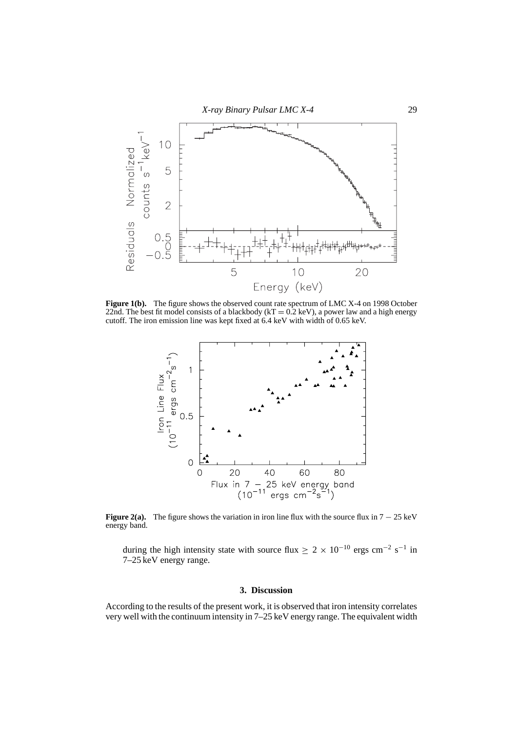

Figure 1(b). The figure shows the observed count rate spectrum of LMC X-4 on 1998 October 22nd. The best fit model consists of a blackbody ( $kT = 0.2$  keV), a power law and a high energy cutoff. The iron emission line was kept fixed at 6.4 keV with width of 0.65 keV.



**Figure 2(a).** The figure shows the variation in iron line flux with the source flux in  $7 - 25$  keV energy band.

during the high intensity state with source flux  $\geq 2 \times 10^{-10}$  ergs cm<sup>-2</sup> s<sup>-1</sup> in 7–25 keV energy range.

### **3. Discussion**

According to the results of the present work, it is observed that iron intensity correlates very well with the continuum intensity in 7–25 keV energy range. The equivalent width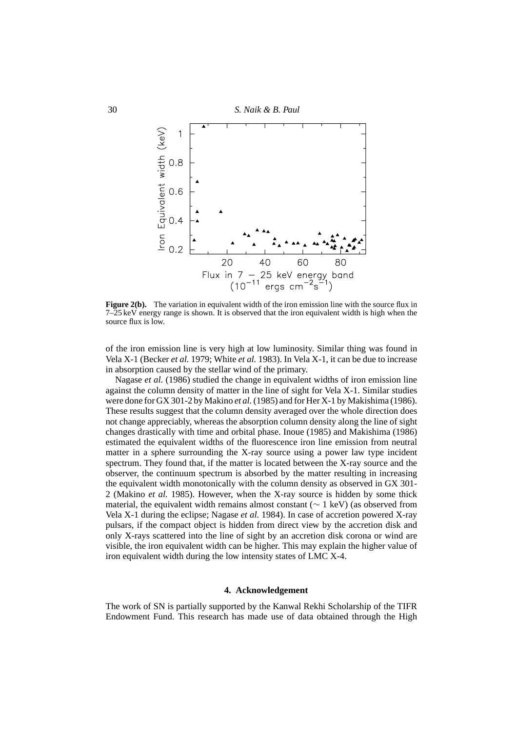

**Figure 2(b).** The variation in equivalent width of the iron emission line with the source flux in 7–25 keV energy range is shown. It is observed that the iron equivalent width is high when the source flux is low.

of the iron emission line is very high at low luminosity. Similar thing was found in Vela X-1 (Becker *et al.* 1979; White *et al.* 1983). In Vela X-1, it can be due to increase in absorption caused by the stellar wind of the primary.

Nagase *et al.* (1986) studied the change in equivalent widths of iron emission line against the column density of matter in the line of sight for Vela X-1. Similar studies were done for GX 301-2 by Makino *et al.*(1985) and for Her X-1 by Makishima (1986). These results suggest that the column density averaged over the whole direction does not change appreciably, whereas the absorption column density along the line of sight changes drastically with time and orbital phase. Inoue (1985) and Makishima (1986) estimated the equivalent widths of the fluorescence iron line emission from neutral matter in a sphere surrounding the X-ray source using a power law type incident spectrum. They found that, if the matter is located between the X-ray source and the observer, the continuum spectrum is absorbed by the matter resulting in increasing the equivalent width monotonically with the column density as observed in GX 301- 2 (Makino *et al.* 1985). However, when the X-ray source is hidden by some thick material, the equivalent width remains almost constant (∼ 1 keV) (as observed from Vela X-1 during the eclipse; Nagase *et al.* 1984). In case of accretion powered X-ray pulsars, if the compact object is hidden from direct view by the accretion disk and only X-rays scattered into the line of sight by an accretion disk corona or wind are visible, the iron equivalent width can be higher. This may explain the higher value of iron equivalent width during the low intensity states of LMC X-4.

### **4. Acknowledgement**

The work of SN is partially supported by the Kanwal Rekhi Scholarship of the TIFR Endowment Fund. This research has made use of data obtained through the High